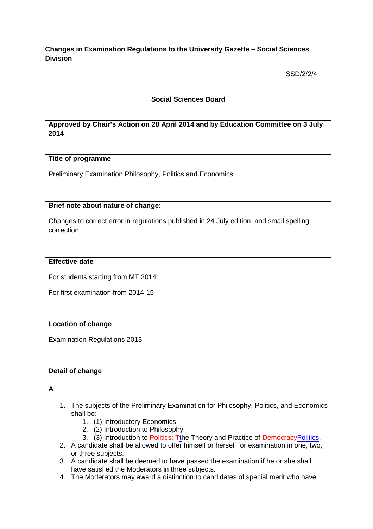# **Changes in Examination Regulations to the University Gazette – Social Sciences Division**

SSD/2/2/4

## **Social Sciences Board**

# **Approved by Chair's Action on 28 April 2014 and by Education Committee on 3 July 2014**

#### **Title of programme**

Preliminary Examination Philosophy, Politics and Economics

#### **Brief note about nature of change:**

Changes to correct error in regulations published in 24 July edition, and small spelling correction

## **Effective date**

For students starting from MT 2014

For first examination from 2014-15

# **Location of change**

Examination Regulations 2013

#### **Detail of change**

**A**

- 1. The subjects of the Preliminary Examination for Philosophy, Politics, and Economics shall be:
	- 1. (1) Introductory Economics
	- 2. (2) Introduction to Philosophy
	- 3. (3) Introduction to Politics: T<sub>1</sub>the Theory and Practice of Democracy Politics.
- 2. A candidate shall be allowed to offer himself or herself for examination in one, two, or three subjects.
- 3. A candidate shall be deemed to have passed the examination if he or she shall have satisfied the Moderators in three subjects.
- 4. The Moderators may award a distinction to candidates of special merit who have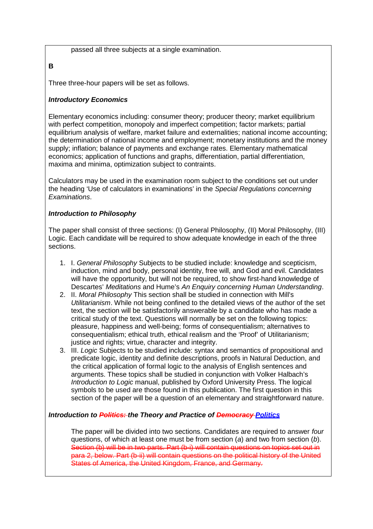passed all three subjects at a single examination.

## **B**

Three three-hour papers will be set as follows.

## *Introductory Economics*

Elementary economics including: consumer theory; producer theory; market equilibrium with perfect competition, monopoly and imperfect competition; factor markets; partial equilibrium analysis of welfare, market failure and externalities; national income accounting; the determination of national income and employment; monetary institutions and the money supply; inflation; balance of payments and exchange rates. Elementary mathematical economics; application of functions and graphs, differentiation, partial differentiation, maxima and minima, optimization subject to contraints.

Calculators may be used in the examination room subject to the conditions set out under the heading 'Use of calculators in examinations' in the *Special Regulations concerning Examinations*.

## *Introduction to Philosophy*

The paper shall consist of three sections: (I) General Philosophy, (II) Moral Philosophy, (III) Logic. Each candidate will be required to show adequate knowledge in each of the three sections.

- 1. I. *General Philosophy* Subjects to be studied include: knowledge and scepticism, induction, mind and body, personal identity, free will, and God and evil. Candidates will have the opportunity, but will not be required, to show first-hand knowledge of Descartes' *Meditations* and Hume's *An Enquiry concerning Human Understanding*.
- 2. II. *Moral Philosophy* This section shall be studied in connection with Mill's *Utilitarianism*. While not being confined to the detailed views of the author of the set text, the section will be satisfactorily answerable by a candidate who has made a critical study of the text. Questions will normally be set on the following topics: pleasure, happiness and well-being; forms of consequentialism; alternatives to consequentialism; ethical truth, ethical realism and the 'Proof' of Utilitarianism; justice and rights; virtue, character and integrity.
- 3. III. *Logic* Subjects to be studied include: syntax and semantics of propositional and predicate logic, identity and definite descriptions, proofs in Natural Deduction, and the critical application of formal logic to the analysis of English sentences and arguments. These topics shall be studied in conjunction with Volker Halbach's *Introduction to Logic* manual, published by Oxford University Press. The logical symbols to be used are those found in this publication. The first question in this section of the paper will be a question of an elementary and straightforward nature.

## *Introduction to Politics: the Theory and Practice of Democracy Politics*

The paper will be divided into two sections. Candidates are required to answer *four* questions, of which at least one must be from section (*a*) and two from section (*b*). Section (b) will be in two parts. Part (b-i) will contain questions on topics set out in para 2, below. Part (b-ii) will contain questions on the political history of the United States of America, the United Kingdom, France, and Germany.